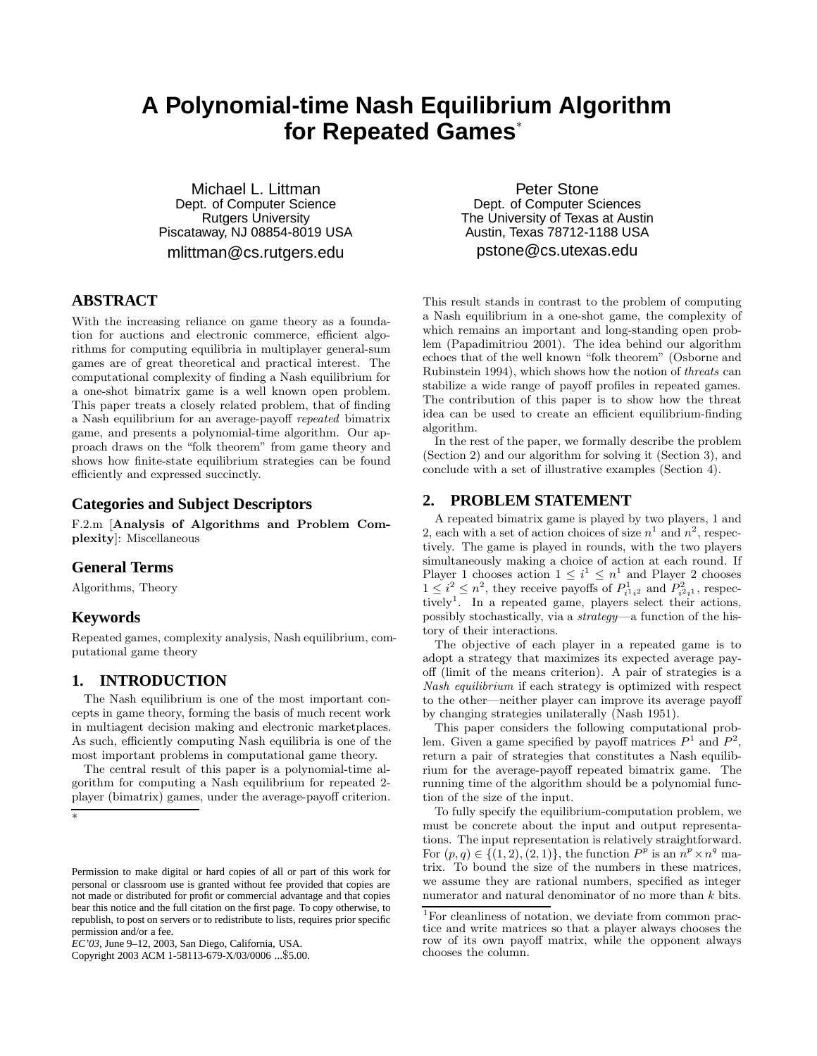# **A Polynomial-time Nash Equilibrium Algorithm for Repeated Games**<sup>∗</sup>

Michael L. Littman Dept. of Computer Science Rutgers University Piscataway, NJ 08854-8019 USA mlittman@cs.rutgers.edu

# **ABSTRACT**

With the increasing reliance on game theory as a foundation for auctions and electronic commerce, efficient algorithms for computing equilibria in multiplayer general-sum games are of great theoretical and practical interest. The computational complexity of finding a Nash equilibrium for a one-shot bimatrix game is a well known open problem. This paper treats a closely related problem, that of finding a Nash equilibrium for an average-payoff repeated bimatrix game, and presents a polynomial-time algorithm. Our approach draws on the "folk theorem" from game theory and shows how finite-state equilibrium strategies can be found efficiently and expressed succinctly.

## **Categories and Subject Descriptors**

F.2.m [**Analysis of Algorithms and Problem Complexity**]: Miscellaneous

## **General Terms**

Algorithms, Theory

## **Keywords**

Repeated games, complexity analysis, Nash equilibrium, computational game theory

# **1. INTRODUCTION**

The Nash equilibrium is one of the most important concepts in game theory, forming the basis of much recent work in multiagent decision making and electronic marketplaces. As such, efficiently computing Nash equilibria is one of the most important problems in computational game theory.

The central result of this paper is a polynomial-time algorithm for computing a Nash equilibrium for repeated 2 player (bimatrix) games, under the average-payoff criterion.

∗

Copyright 2003 ACM 1-58113-679-X/03/0006 ...\$5.00.

Peter Stone Dept. of Computer Sciences The University of Texas at Austin Austin, Texas 78712-1188 USA pstone@cs.utexas.edu

This result stands in contrast to the problem of computing a Nash equilibrium in a one-shot game, the complexity of which remains an important and long-standing open problem (Papadimitriou 2001). The idea behind our algorithm echoes that of the well known "folk theorem" (Osborne and Rubinstein 1994), which shows how the notion of threats can stabilize a wide range of payoff profiles in repeated games. The contribution of this paper is to show how the threat idea can be used to create an efficient equilibrium-finding algorithm.

In the rest of the paper, we formally describe the problem (Section 2) and our algorithm for solving it (Section 3), and conclude with a set of illustrative examples (Section 4).

### **2. PROBLEM STATEMENT**

A repeated bimatrix game is played by two players, 1 and 2, each with a set of action choices of size  $n^1$  and  $n^2$ , respectively. The game is played in rounds, with the two players simultaneously making a choice of action at each round. If Player 1 chooses action  $1 \leq i^1 \leq n^1$  and Player 2 chooses  $1 \leq i^2 \leq n^2$ , they receive payoffs of  $P_{i^1i^2}^1$  and  $P_{i^2i^1}^2$ , respectively<sup>1</sup>. In a repeated game, players select their actions, possibly stochastically, via a strategy—a function of the history of their interactions.

The objective of each player in a repeated game is to adopt a strategy that maximizes its expected average payoff (limit of the means criterion). A pair of strategies is a Nash equilibrium if each strategy is optimized with respect to the other—neither player can improve its average payoff by changing strategies unilaterally (Nash 1951).

This paper considers the following computational problem. Given a game specified by payoff matrices  $P^1$  and  $P^2$ , return a pair of strategies that constitutes a Nash equilibrium for the average-payoff repeated bimatrix game. The running time of the algorithm should be a polynomial function of the size of the input.

To fully specify the equilibrium-computation problem, we must be concrete about the input and output representations. The input representation is relatively straightforward. For  $(p, q) \in \{(1, 2), (2, 1)\}\$ , the function  $P^p$  is an  $n^p \times n^q$  matrix. To bound the size of the numbers in these matrices, we assume they are rational numbers, specified as integer numerator and natural denominator of no more than  $k$  bits.

Permission to make digital or hard copies of all or part of this work for personal or classroom use is granted without fee provided that copies are not made or distributed for profit or commercial advantage and that copies bear this notice and the full citation on the first page. To copy otherwise, to republish, to post on servers or to redistribute to lists, requires prior specific permission and/or a fee.

*EC'03,* June 9–12, 2003, San Diego, California, USA.

<sup>1</sup>For cleanliness of notation, we deviate from common practice and write matrices so that a player always chooses the row of its own payoff matrix, while the opponent always chooses the column.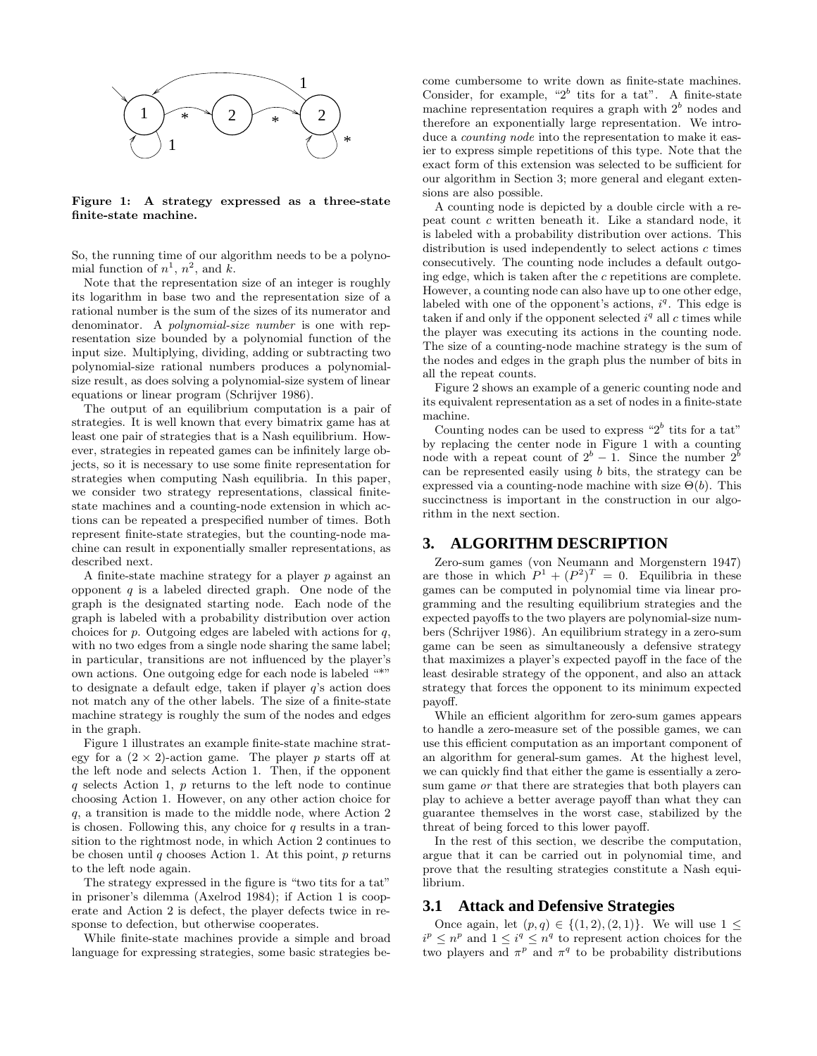

**Figure 1: A strategy expressed as a three-state finite-state machine.**

So, the running time of our algorithm needs to be a polynomial function of  $n^1$ ,  $n^2$ , and k.

Note that the representation size of an integer is roughly its logarithm in base two and the representation size of a rational number is the sum of the sizes of its numerator and denominator. A polynomial-size number is one with representation size bounded by a polynomial function of the input size. Multiplying, dividing, adding or subtracting two polynomial-size rational numbers produces a polynomialsize result, as does solving a polynomial-size system of linear equations or linear program (Schrijver 1986).

The output of an equilibrium computation is a pair of strategies. It is well known that every bimatrix game has at least one pair of strategies that is a Nash equilibrium. However, strategies in repeated games can be infinitely large objects, so it is necessary to use some finite representation for strategies when computing Nash equilibria. In this paper, we consider two strategy representations, classical finitestate machines and a counting-node extension in which actions can be repeated a prespecified number of times. Both represent finite-state strategies, but the counting-node machine can result in exponentially smaller representations, as described next.

A finite-state machine strategy for a player p against an opponent  $q$  is a labeled directed graph. One node of the graph is the designated starting node. Each node of the graph is labeled with a probability distribution over action choices for  $p$ . Outgoing edges are labeled with actions for  $q$ , with no two edges from a single node sharing the same label; in particular, transitions are not influenced by the player's own actions. One outgoing edge for each node is labeled "\*" to designate a default edge, taken if player q's action does not match any of the other labels. The size of a finite-state machine strategy is roughly the sum of the nodes and edges in the graph.

Figure 1 illustrates an example finite-state machine strategy for a  $(2 \times 2)$ -action game. The player p starts off at the left node and selects Action 1. Then, if the opponent q selects Action 1, p returns to the left node to continue choosing Action 1. However, on any other action choice for q, a transition is made to the middle node, where Action 2 is chosen. Following this, any choice for  $q$  results in a transition to the rightmost node, in which Action 2 continues to be chosen until q chooses Action 1. At this point,  $p$  returns to the left node again.

The strategy expressed in the figure is "two tits for a tat" in prisoner's dilemma (Axelrod 1984); if Action 1 is cooperate and Action 2 is defect, the player defects twice in response to defection, but otherwise cooperates.

While finite-state machines provide a simple and broad language for expressing strategies, some basic strategies become cumbersome to write down as finite-state machines. Consider, for example, " $2^b$  tits for a tat". A finite-state machine representation requires a graph with  $2<sup>b</sup>$  nodes and therefore an exponentially large representation. We introduce a counting node into the representation to make it easier to express simple repetitions of this type. Note that the exact form of this extension was selected to be sufficient for our algorithm in Section 3; more general and elegant extensions are also possible.

A counting node is depicted by a double circle with a repeat count c written beneath it. Like a standard node, it is labeled with a probability distribution over actions. This distribution is used independently to select actions  $c$  times consecutively. The counting node includes a default outgoing edge, which is taken after the c repetitions are complete. However, a counting node can also have up to one other edge, labeled with one of the opponent's actions,  $i<sup>q</sup>$ . This edge is taken if and only if the opponent selected  $i<sup>q</sup>$  all c times while the player was executing its actions in the counting node. The size of a counting-node machine strategy is the sum of the nodes and edges in the graph plus the number of bits in all the repeat counts.

Figure 2 shows an example of a generic counting node and its equivalent representation as a set of nodes in a finite-state machine.

Counting nodes can be used to express " $2<sup>b</sup>$  tits for a tat" by replacing the center node in Figure 1 with a counting node with a repeat count of  $2^b - 1$ . Since the number  $2^b$ can be represented easily using b bits, the strategy can be expressed via a counting-node machine with size  $\Theta(b)$ . This succinctness is important in the construction in our algorithm in the next section.

# **3. ALGORITHM DESCRIPTION**

Zero-sum games (von Neumann and Morgenstern 1947) are those in which  $P^1 + (P^2)^T = 0$ . Equilibria in these games can be computed in polynomial time via linear programming and the resulting equilibrium strategies and the expected payoffs to the two players are polynomial-size numbers (Schrijver 1986). An equilibrium strategy in a zero-sum game can be seen as simultaneously a defensive strategy that maximizes a player's expected payoff in the face of the least desirable strategy of the opponent, and also an attack strategy that forces the opponent to its minimum expected payoff.

While an efficient algorithm for zero-sum games appears to handle a zero-measure set of the possible games, we can use this efficient computation as an important component of an algorithm for general-sum games. At the highest level, we can quickly find that either the game is essentially a zerosum game or that there are strategies that both players can play to achieve a better average payoff than what they can guarantee themselves in the worst case, stabilized by the threat of being forced to this lower payoff.

In the rest of this section, we describe the computation, argue that it can be carried out in polynomial time, and prove that the resulting strategies constitute a Nash equilibrium.

## **3.1 Attack and Defensive Strategies**

Once again, let  $(p, q) \in \{(1, 2), (2, 1)\}.$  We will use  $1 \le$  $i^p \leq n^p$  and  $1 \leq i^q \leq n^q$  to represent action choices for the two players and  $\pi^p$  and  $\pi^q$  to be probability distributions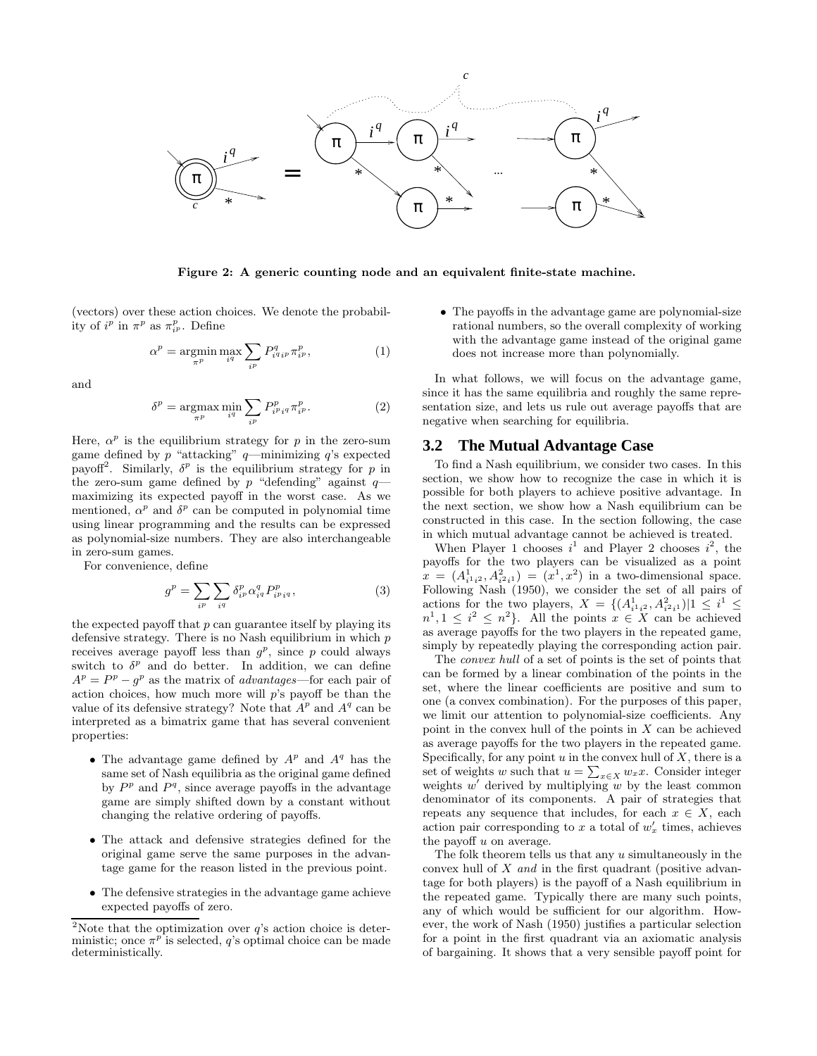

**Figure 2: A generic counting node and an equivalent finite-state machine.**

(vectors) over these action choices. We denote the probability of  $i^p$  in  $\pi^p$  as  $\pi_{i^p}^p$ . Define

$$
\alpha^p = \operatorname*{argmin}_{\pi^p} \max_{i^q} \sum_{i^p} P^q_{i^q i^p} \pi^p_{i^p},\tag{1}
$$

and

$$
\delta^p = \underset{\pi^p}{\text{argmax}} \min_{i^q} \sum_{i^p} P_{i^pi q}^p \pi_{i^p}^p. \tag{2}
$$

Here,  $\alpha^p$  is the equilibrium strategy for p in the zero-sum game defined by p "attacking"  $q$ —minimizing  $q$ 's expected payoff<sup>2</sup>. Similarly,  $\delta^p$  is the equilibrium strategy for p in the zero-sum game defined by p "defending" against  $q$ maximizing its expected payoff in the worst case. As we mentioned,  $\alpha^p$  and  $\delta^p$  can be computed in polynomial time using linear programming and the results can be expressed as polynomial-size numbers. They are also interchangeable in zero-sum games.

For convenience, define

$$
g^{p} = \sum_{i^{p}} \sum_{i^{q}} \delta_{i^{p}}^{p} \alpha_{i^{q}}^{q} P_{i^{p}i^{q}}^{p}, \qquad (3)
$$

the expected payoff that  $p$  can guarantee itself by playing its defensive strategy. There is no Nash equilibrium in which  $p$ receives average payoff less than  $g^p$ , since p could always switch to  $\delta^p$  and do better. In addition, we can define  $A^p = P^p - q^p$  as the matrix of *advantages*—for each pair of action choices, how much more will p's payoff be than the value of its defensive strategy? Note that  $A^p$  and  $A^q$  can be interpreted as a bimatrix game that has several convenient properties:

- The advantage game defined by  $A^p$  and  $A^q$  has the same set of Nash equilibria as the original game defined by  $P<sup>p</sup>$  and  $P<sup>q</sup>$ , since average payoffs in the advantage game are simply shifted down by a constant without changing the relative ordering of payoffs.
- The attack and defensive strategies defined for the original game serve the same purposes in the advantage game for the reason listed in the previous point.
- The defensive strategies in the advantage game achieve expected payoffs of zero.

• The payoffs in the advantage game are polynomial-size rational numbers, so the overall complexity of working with the advantage game instead of the original game does not increase more than polynomially.

In what follows, we will focus on the advantage game, since it has the same equilibria and roughly the same representation size, and lets us rule out average payoffs that are negative when searching for equilibria.

#### **3.2 The Mutual Advantage Case**

To find a Nash equilibrium, we consider two cases. In this section, we show how to recognize the case in which it is possible for both players to achieve positive advantage. In the next section, we show how a Nash equilibrium can be constructed in this case. In the section following, the case in which mutual advantage cannot be achieved is treated.

When Player 1 chooses  $i^1$  and Player 2 chooses  $i^2$ , the payoffs for the two players can be visualized as a point  $x = (A_{i^1 i^2}^1, A_{i^2 i^1}^2) = (x^1, x^2)$  in a two-dimensional space. Following Nash (1950), we consider the set of all pairs of actions for the two players,  $X = \{(A_{i^1 i^2}, A_{i^2 i^1}^2) | 1 \leq i^1 \leq$  $n^1, 1 \leq i^2 \leq n^2$ . All the points  $x \in X$  can be achieved as average payoffs for the two players in the repeated game, simply by repeatedly playing the corresponding action pair.

The convex hull of a set of points is the set of points that can be formed by a linear combination of the points in the set, where the linear coefficients are positive and sum to one (a convex combination). For the purposes of this paper, we limit our attention to polynomial-size coefficients. Any point in the convex hull of the points in  $X$  can be achieved as average payoffs for the two players in the repeated game. Specifically, for any point  $u$  in the convex hull of  $X$ , there is a set of weights w such that  $u = \sum_{x \in X} w_x x$ . Consider integer weights  $w'$  derived by multiplying w by the least common denominator of its components. A pair of strategies that repeats any sequence that includes, for each  $x \in X$ , each action pair corresponding to x a total of  $w'_x$  times, achieves the payoff  $u$  on average.

The folk theorem tells us that any  $u$  simultaneously in the convex hull of X and in the first quadrant (positive advantage for both players) is the payoff of a Nash equilibrium in the repeated game. Typically there are many such points, any of which would be sufficient for our algorithm. However, the work of Nash (1950) justifies a particular selection for a point in the first quadrant via an axiomatic analysis of bargaining. It shows that a very sensible payoff point for

<sup>&</sup>lt;sup>2</sup>Note that the optimization over  $q$ 's action choice is deterministic; once  $\pi^p$  is selected, q's optimal choice can be made deterministically.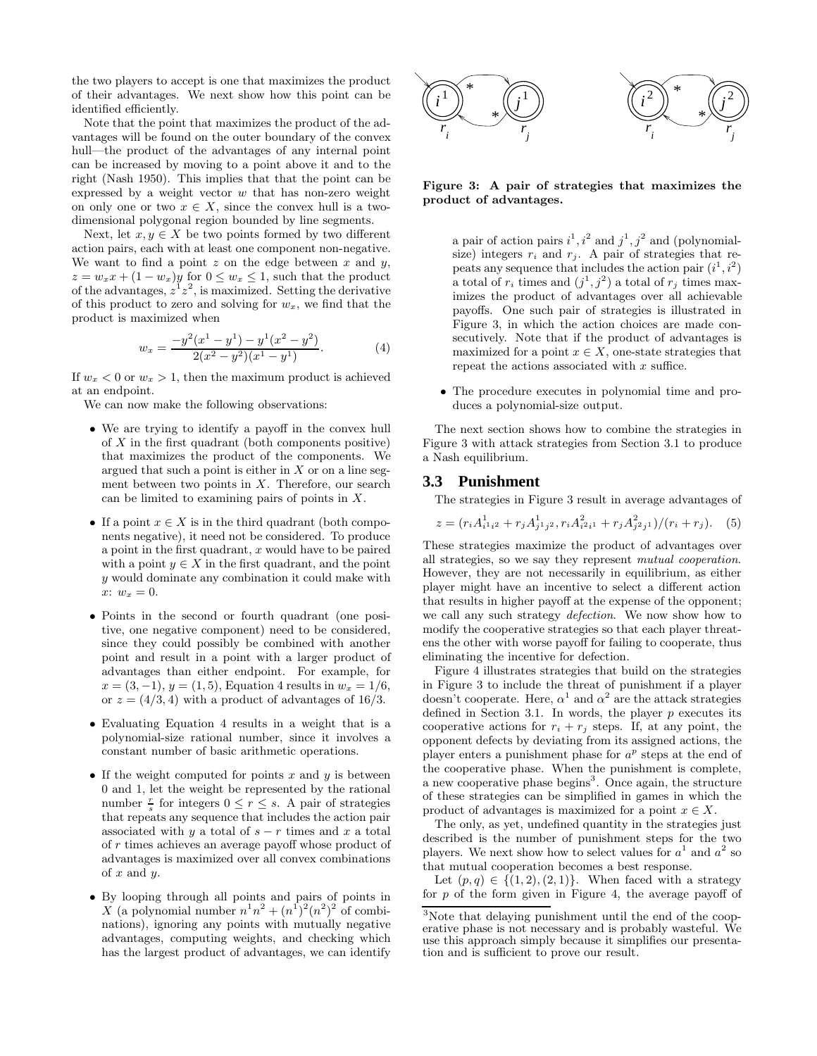the two players to accept is one that maximizes the product of their advantages. We next show how this point can be identified efficiently.

Note that the point that maximizes the product of the advantages will be found on the outer boundary of the convex hull—the product of the advantages of any internal point can be increased by moving to a point above it and to the right (Nash 1950). This implies that that the point can be expressed by a weight vector  $w$  that has non-zero weight on only one or two  $x \in X$ , since the convex hull is a twodimensional polygonal region bounded by line segments.

Next, let  $x, y \in X$  be two points formed by two different action pairs, each with at least one component non-negative. We want to find a point  $z$  on the edge between  $x$  and  $y$ ,  $z = w_x x + (1 - w_x) y$  for  $0 \leq w_x \leq 1$ , such that the product of the advantages,  $z^1z^2$ , is maximized. Setting the derivative of this product to zero and solving for  $w_x$ , we find that the product is maximized when

$$
w_x = \frac{-y^2(x^1 - y^1) - y^1(x^2 - y^2)}{2(x^2 - y^2)(x^1 - y^1)}.
$$
 (4)

If  $w_x < 0$  or  $w_x > 1$ , then the maximum product is achieved at an endpoint.

We can now make the following observations:

- We are trying to identify a payoff in the convex hull of  $X$  in the first quadrant (both components positive) that maximizes the product of the components. We argued that such a point is either in  $X$  or on a line segment between two points in  $X$ . Therefore, our search can be limited to examining pairs of points in X.
- If a point  $x \in X$  is in the third quadrant (both components negative), it need not be considered. To produce a point in the first quadrant,  $x$  would have to be paired with a point  $y \in X$  in the first quadrant, and the point y would dominate any combination it could make with  $x: w_x = 0.$
- Points in the second or fourth quadrant (one positive, one negative component) need to be considered, since they could possibly be combined with another point and result in a point with a larger product of advantages than either endpoint. For example, for  $x = (3, -1), y = (1, 5),$  Equation 4 results in  $w_x = 1/6$ , or  $z = (4/3, 4)$  with a product of advantages of 16/3.
- Evaluating Equation 4 results in a weight that is a polynomial-size rational number, since it involves a constant number of basic arithmetic operations.
- If the weight computed for points  $x$  and  $y$  is between 0 and 1, let the weight be represented by the rational number  $\frac{r}{s}$  for integers  $0 \leq r \leq s$ . A pair of strategies that repeats any sequence that includes the action pair associated with y a total of  $s - r$  times and x a total of r times achieves an average payoff whose product of advantages is maximized over all convex combinations of  $x$  and  $y$ .
- By looping through all points and pairs of points in X (a polynomial number  $n^1n^2 + (n^1)^2(n^2)^2$  of combinations), ignoring any points with mutually negative advantages, computing weights, and checking which has the largest product of advantages, we can identify



**Figure 3: A pair of strategies that maximizes the product of advantages.**

a pair of action pairs  $i^1$ ,  $i^2$  and  $j^1$ ,  $j^2$  and (polynomialsize) integers  $r_i$  and  $r_j$ . A pair of strategies that repeats any sequence that includes the action pair  $(i^1, i^2)$ a total of  $r_i$  times and  $(j^1, j^2)$  a total of  $r_j$  times maximizes the product of advantages over all achievable payoffs. One such pair of strategies is illustrated in Figure 3, in which the action choices are made consecutively. Note that if the product of advantages is maximized for a point  $x \in X$ , one-state strategies that repeat the actions associated with  $x$  suffice.

• The procedure executes in polynomial time and produces a polynomial-size output.

The next section shows how to combine the strategies in Figure 3 with attack strategies from Section 3.1 to produce a Nash equilibrium.

#### **3.3 Punishment**

The strategies in Figure 3 result in average advantages of

$$
z = (r_i A_{i^1 i^2}^1 + r_j A_{j^1 j^2}^1, r_i A_{i^2 i^1}^2 + r_j A_{j^2 j^1}^2)/(r_i + r_j). \tag{5}
$$

These strategies maximize the product of advantages over all strategies, so we say they represent mutual cooperation. However, they are not necessarily in equilibrium, as either player might have an incentive to select a different action that results in higher payoff at the expense of the opponent; we call any such strategy defection. We now show how to modify the cooperative strategies so that each player threatens the other with worse payoff for failing to cooperate, thus eliminating the incentive for defection.

Figure 4 illustrates strategies that build on the strategies in Figure 3 to include the threat of punishment if a player doesn't cooperate. Here,  $\alpha^1$  and  $\alpha^2$  are the attack strategies defined in Section 3.1. In words, the player  $p$  executes its cooperative actions for  $r_i + r_j$  steps. If, at any point, the opponent defects by deviating from its assigned actions, the player enters a punishment phase for  $a^p$  steps at the end of the cooperative phase. When the punishment is complete, a new cooperative phase begins<sup>3</sup>. Once again, the structure of these strategies can be simplified in games in which the product of advantages is maximized for a point  $x \in X$ .

The only, as yet, undefined quantity in the strategies just described is the number of punishment steps for the two players. We next show how to select values for  $a^1$  and  $a^2$  so that mutual cooperation becomes a best response.

Let  $(p, q) \in \{(1, 2), (2, 1)\}$ . When faced with a strategy for  $p$  of the form given in Figure 4, the average payoff of

<sup>3</sup>Note that delaying punishment until the end of the cooperative phase is not necessary and is probably wasteful. We use this approach simply because it simplifies our presentation and is sufficient to prove our result.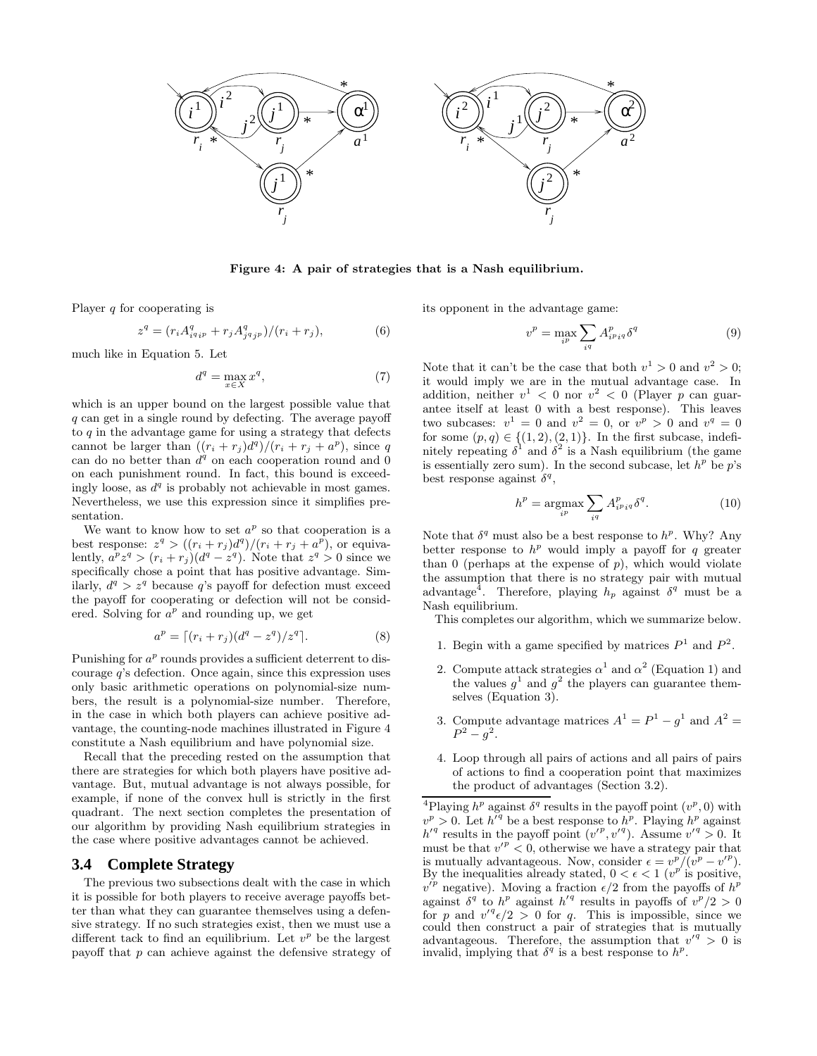

**Figure 4: A pair of strategies that is a Nash equilibrium.**

Player  $q$  for cooperating is

$$
z^{q} = (r_{i}A_{i^{q}ip}^{q} + r_{j}A_{j^{q}jp}^{q})/(r_{i} + r_{j}),
$$
\n(6)

much like in Equation 5. Let

$$
d^q = \max_{x \in X} x^q,\tag{7}
$$

which is an upper bound on the largest possible value that q can get in a single round by defecting. The average payoff to  $q$  in the advantage game for using a strategy that defects cannot be larger than  $((r_i + r_j)d^q)/(r_i + r_j + a^p)$ , since q can do no better than  $d^q$  on each cooperation round and 0 on each punishment round. In fact, this bound is exceedingly loose, as  $d^q$  is probably not achievable in most games. Nevertheless, we use this expression since it simplifies presentation.

We want to know how to set  $a^p$  so that cooperation is a best response:  $z^q$  >  $((r_i + r_j)d^q)/(r_i + r_j + a^p)$ , or equivalently,  $a^pz^q>(r_i+r_j)(d^q-z^q)$ . Note that  $z^q>0$  since we specifically chose a point that has positive advantage. Similarly,  $d^q > z^q$  because q's payoff for defection must exceed the payoff for cooperating or defection will not be considered. Solving for  $a^p$  and rounding up, we get

$$
a^p = \lceil (r_i + r_j)(d^q - z^q)/z^q \rceil. \tag{8}
$$

Punishing for  $a^p$  rounds provides a sufficient deterrent to discourage  $q$ 's defection. Once again, since this expression uses only basic arithmetic operations on polynomial-size numbers, the result is a polynomial-size number. Therefore, in the case in which both players can achieve positive advantage, the counting-node machines illustrated in Figure 4 constitute a Nash equilibrium and have polynomial size.

Recall that the preceding rested on the assumption that there are strategies for which both players have positive advantage. But, mutual advantage is not always possible, for example, if none of the convex hull is strictly in the first quadrant. The next section completes the presentation of our algorithm by providing Nash equilibrium strategies in the case where positive advantages cannot be achieved.

#### **3.4 Complete Strategy**

The previous two subsections dealt with the case in which it is possible for both players to receive average payoffs better than what they can guarantee themselves using a defensive strategy. If no such strategies exist, then we must use a different tack to find an equilibrium. Let  $v^p$  be the largest payoff that p can achieve against the defensive strategy of its opponent in the advantage game:

$$
v^p = \max_{i^p} \sum_{i^q} A_{i^pi q}^p \delta^q \tag{9}
$$

Note that it can't be the case that both  $v^1 > 0$  and  $v^2 > 0$ ; it would imply we are in the mutual advantage case. In addition, neither  $v^1$  < 0 nor  $v^2$  < 0 (Player p can guarantee itself at least 0 with a best response). This leaves two subcases:  $v^1 = 0$  and  $v^2 = 0$ , or  $v^p > 0$  and  $v^q = 0$ for some  $(p, q) \in \{(1, 2), (2, 1)\}.$  In the first subcase, indefinitely repeating  $\delta^1$  and  $\delta^2$  is a Nash equilibrium (the game is essentially zero sum). In the second subcase, let  $h^p$  be p's best response against  $\delta^q$ ,

$$
h^{p} = \underset{i^{p}}{\operatorname{argmax}} \sum_{i^{q}} A_{i^{p}i^{q}}^{p} \delta^{q}.
$$
 (10)

Note that  $\delta^q$  must also be a best response to  $h^p$ . Why? Any better response to  $h^p$  would imply a payoff for q greater than 0 (perhaps at the expense of  $p$ ), which would violate the assumption that there is no strategy pair with mutual advantage<sup>4</sup>. Therefore, playing  $h_p$  against  $\delta^q$  must be a Nash equilibrium.

This completes our algorithm, which we summarize below.

- 1. Begin with a game specified by matrices  $P^1$  and  $P^2$ .
- 2. Compute attack strategies  $\alpha^1$  and  $\alpha^2$  (Equation 1) and the values  $g^1$  and  $g^2$  the players can guarantee themselves (Equation 3).
- 3. Compute advantage matrices  $A^1 = P^1 g^1$  and  $A^2 =$  $P^2 - g^2$ .
- 4. Loop through all pairs of actions and all pairs of pairs of actions to find a cooperation point that maximizes the product of advantages (Section 3.2).

<sup>&</sup>lt;sup>4</sup>Playing  $h^p$  against  $\delta^q$  results in the payoff point  $(v^p, 0)$  with  $v^p > 0$ . Let  $h^{\bar{q}}$  be a best response to  $h^p$ . Playing  $h^p$  against  $h'^q$  results in the payoff point  $(v'^p, v'^q)$ . Assume  $v'^q > 0$ . It must be that  $v'^p < 0$ , otherwise we have a strategy pair that is mutually advantageous. Now, consider  $\epsilon = v^p/(v^p - v'^p)$ . By the inequalities already stated,  $0 < \epsilon < 1$  ( $v^{p'}$  is positive,  $v'^p$  negative). Moving a fraction  $\epsilon/2$  from the payoffs of  $h^p$ against  $\delta^q$  to  $h^p$  against  $h'^q$  results in payoffs of  $v^p/2 > 0$ for p and  $v'^q \epsilon/2 > 0$  for q. This is impossible, since we could then construct a pair of strategies that is mutually advantageous. Therefore, the assumption that  $v'^q > 0$  is invalid, implying that  $\delta^q$  is a best response to  $h^p$ .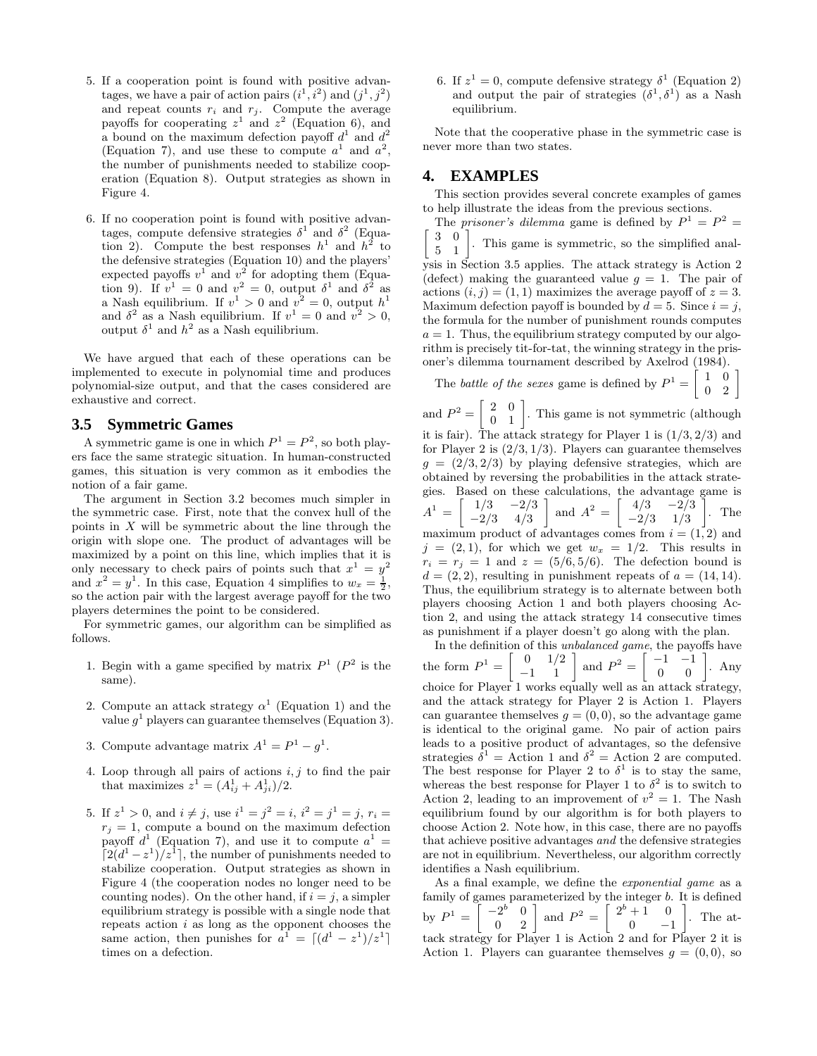- 5. If a cooperation point is found with positive advantages, we have a pair of action pairs  $(i^1, i^2)$  and  $(j^1, j^2)$ and repeat counts  $r_i$  and  $r_j$ . Compute the average payoffs for cooperating  $z^1$  and  $z^2$  (Equation 6), and a bound on the maximum defection payoff  $d^1$  and  $d^2$ (Equation 7), and use these to compute  $a^1$  and  $a^2$ , the number of punishments needed to stabilize cooperation (Equation 8). Output strategies as shown in Figure 4.
- 6. If no cooperation point is found with positive advantages, compute defensive strategies  $\delta^1$  and  $\delta^2$  (Equation 2). Compute the best responses  $h^1$  and  $h^2$  to the defensive strategies (Equation 10) and the players' expected payoffs  $v^1$  and  $v^2$  for adopting them (Equation 9). If  $v^1 = 0$  and  $v^2 = 0$ , output  $\delta^1$  and  $\delta^2$  as a Nash equilibrium. If  $v^1 > 0$  and  $v^2 = 0$ , output  $h^1$ and  $\delta^2$  as a Nash equilibrium. If  $v^1 = 0$  and  $v^2 > 0$ , output  $\delta^1$  and  $h^2$  as a Nash equilibrium.

We have argued that each of these operations can be implemented to execute in polynomial time and produces polynomial-size output, and that the cases considered are exhaustive and correct.

#### **3.5 Symmetric Games**

A symmetric game is one in which  $P^1 = P^2$ , so both players face the same strategic situation. In human-constructed games, this situation is very common as it embodies the notion of a fair game.

The argument in Section 3.2 becomes much simpler in the symmetric case. First, note that the convex hull of the points in  $X$  will be symmetric about the line through the origin with slope one. The product of advantages will be maximized by a point on this line, which implies that it is only necessary to check pairs of points such that  $x^1 = y^2$ and  $x^2 = y^1$ . In this case, Equation 4 simplifies to  $w_x = \frac{1}{2}$ , so the action pair with the largest average payoff for the two players determines the point to be considered.

For symmetric games, our algorithm can be simplified as follows.

- 1. Begin with a game specified by matrix  $P^1$  ( $P^2$  is the same).
- 2. Compute an attack strategy  $\alpha^1$  (Equation 1) and the value  $q<sup>1</sup>$  players can guarantee themselves (Equation 3).
- 3. Compute advantage matrix  $A^1 = P^1 q^1$ .
- 4. Loop through all pairs of actions  $i, j$  to find the pair that maximizes  $z^1 = (A_{ij}^1 + A_{ji}^1)/2$ .
- 5. If  $z^1 > 0$ , and  $i \neq j$ , use  $i^1 = j^2 = i$ ,  $i^2 = j^1 = j$ ,  $r_i = j$  $r_j = 1$ , compute a bound on the maximum defection payoff  $d^1$  (Equation 7), and use it to compute  $a^1 =$  $\lceil 2(d^1-z^1)/z^1 \rceil$ , the number of punishments needed to stabilize cooperation. Output strategies as shown in Figure 4 (the cooperation nodes no longer need to be counting nodes). On the other hand, if  $i = j$ , a simpler equilibrium strategy is possible with a single node that repeats action  $i$  as long as the opponent chooses the same action, then punishes for  $a^1 = \lfloor (d^1 - z^1)/z^1 \rfloor$ times on a defection.

6. If  $z^1 = 0$ , compute defensive strategy  $\delta^1$  (Equation 2) and output the pair of strategies  $(\delta^1, \delta^1)$  as a Nash equilibrium.

Note that the cooperative phase in the symmetric case is never more than two states.

## **4. EXAMPLES**

This section provides several concrete examples of games to help illustrate the ideas from the previous sections.

The *prisoner's dilemma* game is defined by  $P^1 = P^2 = \begin{bmatrix} 3 & 0 \end{bmatrix}$  $\boldsymbol{3}$  $\begin{array}{cc} 3 & 0 \\ 5 & 1 \end{array}$ . This game is symmetric, so the simplified anal-

ysis in Section 3.5 applies. The attack strategy is Action 2 (defect) making the guaranteed value  $q = 1$ . The pair of actions  $(i, j) = (1, 1)$  maximizes the average payoff of  $z = 3$ . Maximum defection payoff is bounded by  $d = 5$ . Since  $i = j$ , the formula for the number of punishment rounds computes  $a = 1$ . Thus, the equilibrium strategy computed by our algorithm is precisely tit-for-tat, the winning strategy in the prisoner's dilemma tournament described by Axelrod (1984).

The *battle of the sexes* game is defined by  $\mathbb{P}^1 =$  $\left[\begin{array}{cc} 1 & 0 \\ 0 & 2 \end{array}\right]$ and  $P^2 = \begin{bmatrix} 2 & 0 \\ 0 & 1 \end{bmatrix}$ . This game is not symmetric (although it is fair). The attack strategy for Player 1 is  $(1/3, 2/3)$  and for Player 2 is  $(2/3, 1/3)$ . Players can guarantee themselves  $g = (2/3, 2/3)$  by playing defensive strategies, which are obtained by reversing the probabilities in the attack strategies. Based on these calculations, the advantage game is  $A^1 = \begin{bmatrix} 1/3 & -2/3 \\ 2/3 & 4/3 \end{bmatrix}$ −2/3 4/3 and  $A^2 = \begin{bmatrix} 4/3 & -2/3 \\ 3/2 & 1/2 \end{bmatrix}$ −2/3 1/3 1 . The maximum product of advantages comes from  $i = (1, 2)$  and  $j = (2, 1)$ , for which we get  $w_x = 1/2$ . This results in  $r_i = r_j = 1$  and  $z = (5/6, 5/6)$ . The defection bound is  $d = (2, 2)$ , resulting in punishment repeats of  $a = (14, 14)$ . Thus, the equilibrium strategy is to alternate between both players choosing Action 1 and both players choosing Action 2, and using the attack strategy 14 consecutive times as punishment if a player doesn't go along with the plan.

In the definition of this unbalanced game, the payoffs have the form  $P^1 =$  $\left[\begin{array}{cc} 0 & 1/2 \\ -1 & 1 \end{array}\right]$ and  $P^2 = \left[ \begin{array}{cc} -1 & -1 \\ 0 & 0 \end{array} \right]$ . Any choice for Player 1 works equally well as an attack strategy, and the attack strategy for Player 2 is Action 1. Players can guarantee themselves  $q = (0, 0)$ , so the advantage game is identical to the original game. No pair of action pairs leads to a positive product of advantages, so the defensive strategies  $\delta^1$  = Action 1 and  $\delta^2$  = Action 2 are computed. The best response for Player 2 to  $\delta^1$  is to stay the same, whereas the best response for Player 1 to  $\delta^2$  is to switch to Action 2, leading to an improvement of  $v^2 = 1$ . The Nash equilibrium found by our algorithm is for both players to choose Action 2. Note how, in this case, there are no payoffs that achieve positive advantages and the defensive strategies are not in equilibrium. Nevertheless, our algorithm correctly identifies a Nash equilibrium.

As a final example, we define the *exponential game* as a family of games parameterized by the integer b. It is defined by  $P^1 =$  $\left[ \begin{array}{cc} -2^b & 0 \\ 0 & 2 \end{array} \right]$ and  $P^2 = \begin{bmatrix} 2^b + 1 & 0 \\ 0 & 0 \end{bmatrix}$  $0 \t -1$ 1 . The attack strategy for Player 1 is Action 2 and for Player 2 it is Action 1. Players can guarantee themselves  $g = (0,0)$ , so